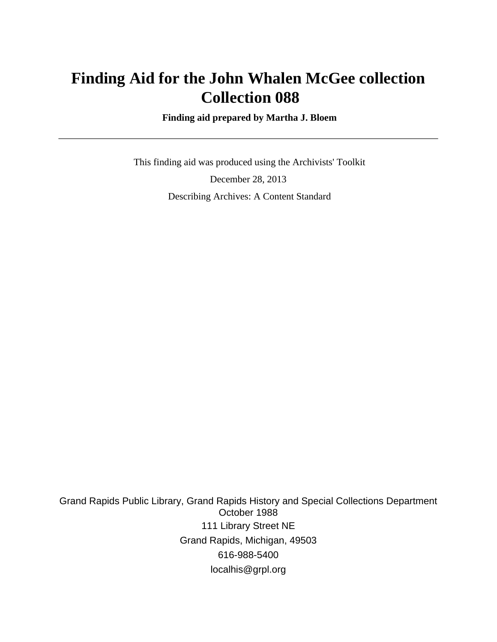# **Finding Aid for the John Whalen McGee collection Collection 088**

 **Finding aid prepared by Martha J. Bloem**

 This finding aid was produced using the Archivists' Toolkit December 28, 2013 Describing Archives: A Content Standard

Grand Rapids Public Library, Grand Rapids History and Special Collections Department October 1988 111 Library Street NE Grand Rapids, Michigan, 49503 616-988-5400 localhis@grpl.org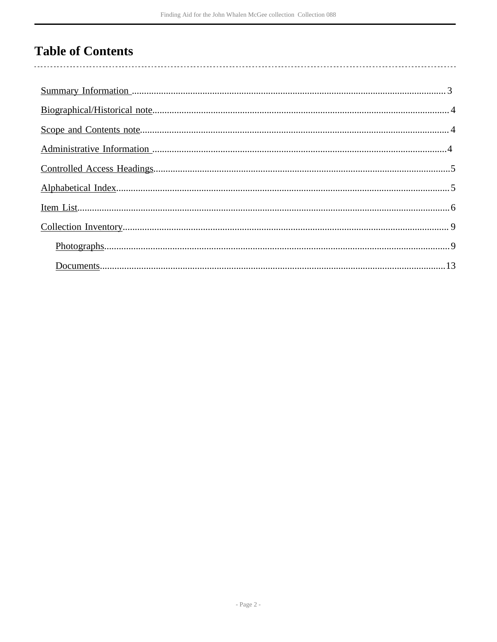## **Table of Contents**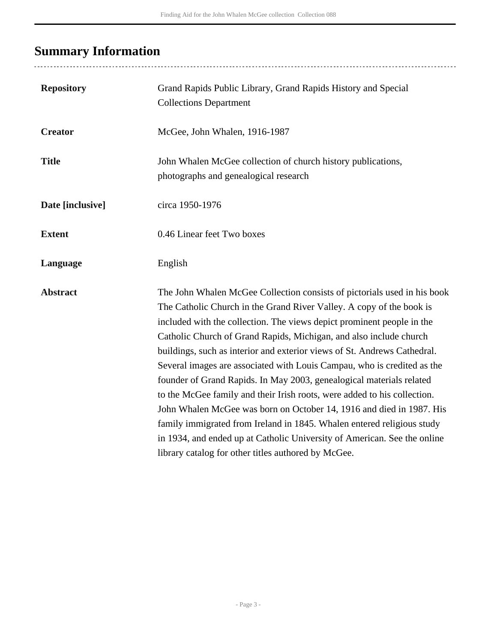# <span id="page-2-0"></span>**Summary Information**

...................................

| <b>Repository</b> | Grand Rapids Public Library, Grand Rapids History and Special<br><b>Collections Department</b>                                                                                                                                                                                                                                                                                                                                                                                                                                                                                                                                                                                                                                                                                                                                                                                                   |
|-------------------|--------------------------------------------------------------------------------------------------------------------------------------------------------------------------------------------------------------------------------------------------------------------------------------------------------------------------------------------------------------------------------------------------------------------------------------------------------------------------------------------------------------------------------------------------------------------------------------------------------------------------------------------------------------------------------------------------------------------------------------------------------------------------------------------------------------------------------------------------------------------------------------------------|
| <b>Creator</b>    | McGee, John Whalen, 1916-1987                                                                                                                                                                                                                                                                                                                                                                                                                                                                                                                                                                                                                                                                                                                                                                                                                                                                    |
| <b>Title</b>      | John Whalen McGee collection of church history publications,<br>photographs and genealogical research                                                                                                                                                                                                                                                                                                                                                                                                                                                                                                                                                                                                                                                                                                                                                                                            |
| Date [inclusive]  | circa 1950-1976                                                                                                                                                                                                                                                                                                                                                                                                                                                                                                                                                                                                                                                                                                                                                                                                                                                                                  |
| <b>Extent</b>     | 0.46 Linear feet Two boxes                                                                                                                                                                                                                                                                                                                                                                                                                                                                                                                                                                                                                                                                                                                                                                                                                                                                       |
| Language          | English                                                                                                                                                                                                                                                                                                                                                                                                                                                                                                                                                                                                                                                                                                                                                                                                                                                                                          |
| <b>Abstract</b>   | The John Whalen McGee Collection consists of pictorials used in his book<br>The Catholic Church in the Grand River Valley. A copy of the book is<br>included with the collection. The views depict prominent people in the<br>Catholic Church of Grand Rapids, Michigan, and also include church<br>buildings, such as interior and exterior views of St. Andrews Cathedral.<br>Several images are associated with Louis Campau, who is credited as the<br>founder of Grand Rapids. In May 2003, genealogical materials related<br>to the McGee family and their Irish roots, were added to his collection.<br>John Whalen McGee was born on October 14, 1916 and died in 1987. His<br>family immigrated from Ireland in 1845. Whalen entered religious study<br>in 1934, and ended up at Catholic University of American. See the online<br>library catalog for other titles authored by McGee. |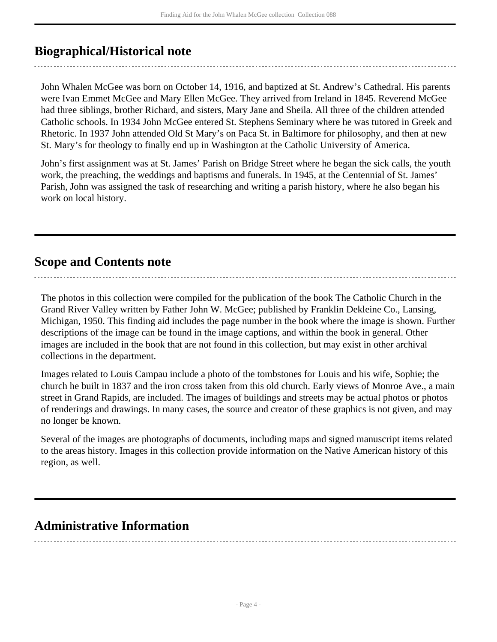## <span id="page-3-0"></span>**Biographical/Historical note**

John Whalen McGee was born on October 14, 1916, and baptized at St. Andrew's Cathedral. His parents were Ivan Emmet McGee and Mary Ellen McGee. They arrived from Ireland in 1845. Reverend McGee had three siblings, brother Richard, and sisters, Mary Jane and Sheila. All three of the children attended Catholic schools. In 1934 John McGee entered St. Stephens Seminary where he was tutored in Greek and Rhetoric. In 1937 John attended Old St Mary's on Paca St. in Baltimore for philosophy, and then at new St. Mary's for theology to finally end up in Washington at the Catholic University of America.

John's first assignment was at St. James' Parish on Bridge Street where he began the sick calls, the youth work, the preaching, the weddings and baptisms and funerals. In 1945, at the Centennial of St. James' Parish, John was assigned the task of researching and writing a parish history, where he also began his work on local history.

### <span id="page-3-1"></span>**Scope and Contents note**

The photos in this collection were compiled for the publication of the book The Catholic Church in the Grand River Valley written by Father John W. McGee; published by Franklin Dekleine Co., Lansing, Michigan, 1950. This finding aid includes the page number in the book where the image is shown. Further descriptions of the image can be found in the image captions, and within the book in general. Other images are included in the book that are not found in this collection, but may exist in other archival collections in the department.

Images related to Louis Campau include a photo of the tombstones for Louis and his wife, Sophie; the church he built in 1837 and the iron cross taken from this old church. Early views of Monroe Ave., a main street in Grand Rapids, are included. The images of buildings and streets may be actual photos or photos of renderings and drawings. In many cases, the source and creator of these graphics is not given, and may no longer be known.

Several of the images are photographs of documents, including maps and signed manuscript items related to the areas history. Images in this collection provide information on the Native American history of this region, as well.

### <span id="page-3-2"></span>**Administrative Information**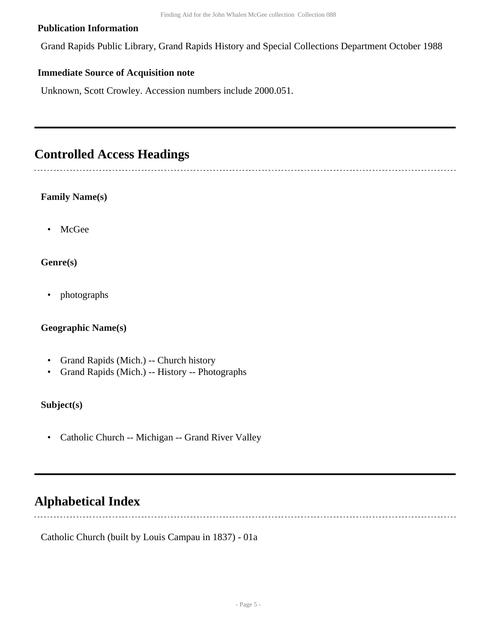#### **Publication Information**

Grand Rapids Public Library, Grand Rapids History and Special Collections Department October 1988

#### **Immediate Source of Acquisition note**

Unknown, Scott Crowley. Accession numbers include 2000.051.

### <span id="page-4-0"></span>**Controlled Access Headings**

#### **Family Name(s)**

• McGee

#### **Genre(s)**

• photographs

#### **Geographic Name(s)**

- Grand Rapids (Mich.) -- Church history
- Grand Rapids (Mich.) -- History -- Photographs

#### **Subject(s)**

• Catholic Church -- Michigan -- Grand River Valley

## <span id="page-4-1"></span>**Alphabetical Index**

Catholic Church (built by Louis Campau in 1837) - 01a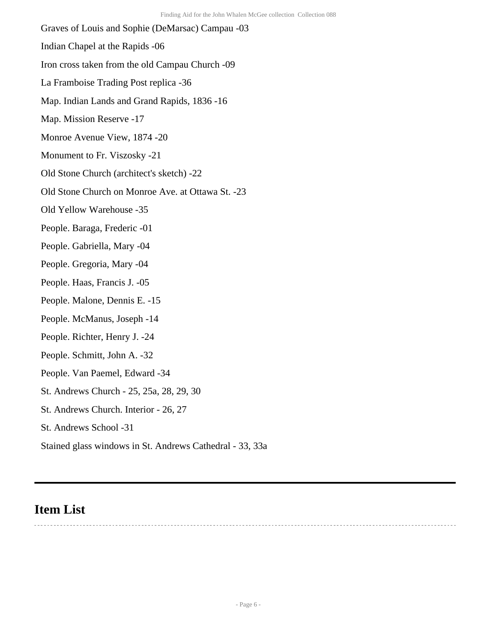Graves of Louis and Sophie (DeMarsac) Campau -03 Indian Chapel at the Rapids -06 Iron cross taken from the old Campau Church -09 La Framboise Trading Post replica -36 Map. Indian Lands and Grand Rapids, 1836 -16 Map. Mission Reserve -17 Monroe Avenue View, 1874 -20 Monument to Fr. Viszosky -21 Old Stone Church (architect's sketch) -22 Old Stone Church on Monroe Ave. at Ottawa St. -23 Old Yellow Warehouse -35 People. Baraga, Frederic -01 People. Gabriella, Mary -04 People. Gregoria, Mary -04 People. Haas, Francis J. -05 People. Malone, Dennis E. -15 People. McManus, Joseph -14 People. Richter, Henry J. -24 People. Schmitt, John A. -32 People. Van Paemel, Edward -34 St. Andrews Church - 25, 25a, 28, 29, 30 St. Andrews Church. Interior - 26, 27 St. Andrews School -31

Stained glass windows in St. Andrews Cathedral - 33, 33a

## <span id="page-5-0"></span>**Item List**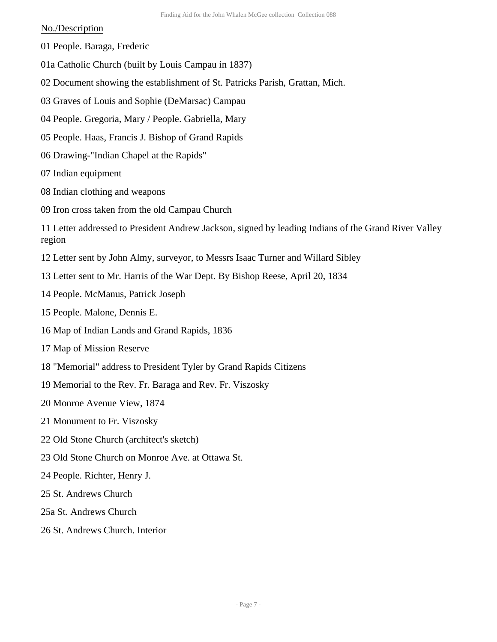#### No./Description

- 01 People. Baraga, Frederic
- 01a Catholic Church (built by Louis Campau in 1837)
- 02 Document showing the establishment of St. Patricks Parish, Grattan, Mich.
- 03 Graves of Louis and Sophie (DeMarsac) Campau
- 04 People. Gregoria, Mary / People. Gabriella, Mary
- 05 People. Haas, Francis J. Bishop of Grand Rapids
- 06 Drawing-"Indian Chapel at the Rapids"
- 07 Indian equipment
- 08 Indian clothing and weapons
- 09 Iron cross taken from the old Campau Church

11 Letter addressed to President Andrew Jackson, signed by leading Indians of the Grand River Valley region

- 12 Letter sent by John Almy, surveyor, to Messrs Isaac Turner and Willard Sibley
- 13 Letter sent to Mr. Harris of the War Dept. By Bishop Reese, April 20, 1834
- 14 People. McManus, Patrick Joseph
- 15 People. Malone, Dennis E.
- 16 Map of Indian Lands and Grand Rapids, 1836
- 17 Map of Mission Reserve
- 18 "Memorial" address to President Tyler by Grand Rapids Citizens
- 19 Memorial to the Rev. Fr. Baraga and Rev. Fr. Viszosky
- 20 Monroe Avenue View, 1874
- 21 Monument to Fr. Viszosky
- 22 Old Stone Church (architect's sketch)
- 23 Old Stone Church on Monroe Ave. at Ottawa St.
- 24 People. Richter, Henry J.
- 25 St. Andrews Church
- 25a St. Andrews Church
- 26 St. Andrews Church. Interior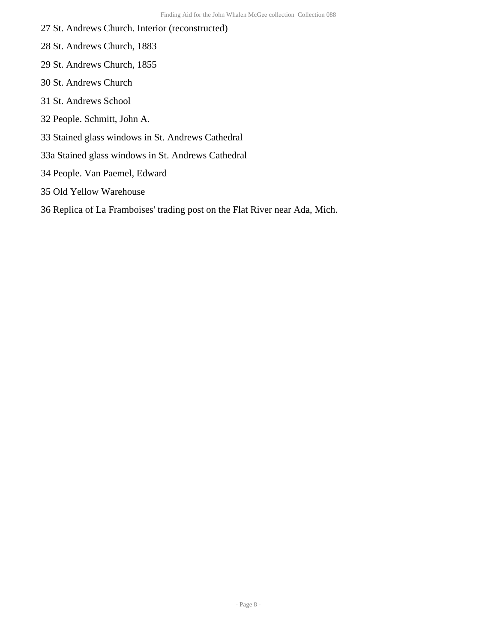- 27 St. Andrews Church. Interior (reconstructed)
- 28 St. Andrews Church, 1883
- 29 St. Andrews Church, 1855
- 30 St. Andrews Church
- 31 St. Andrews School
- 32 People. Schmitt, John A.
- 33 Stained glass windows in St. Andrews Cathedral
- 33a Stained glass windows in St. Andrews Cathedral
- 34 People. Van Paemel, Edward
- 35 Old Yellow Warehouse
- 36 Replica of La Framboises' trading post on the Flat River near Ada, Mich.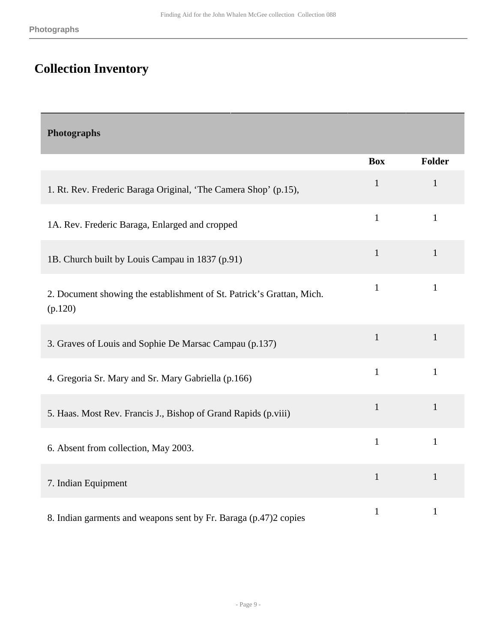# <span id="page-8-0"></span>**Collection Inventory**

<span id="page-8-1"></span>

| Photographs                                                                      |              |              |
|----------------------------------------------------------------------------------|--------------|--------------|
|                                                                                  | <b>Box</b>   | Folder       |
| 1. Rt. Rev. Frederic Baraga Original, 'The Camera Shop' (p.15),                  | $\mathbf{1}$ | $\mathbf{1}$ |
| 1A. Rev. Frederic Baraga, Enlarged and cropped                                   | $\mathbf{1}$ | $\mathbf{1}$ |
| 1B. Church built by Louis Campau in 1837 (p.91)                                  | $\mathbf{1}$ | $\mathbf{1}$ |
| 2. Document showing the establishment of St. Patrick's Grattan, Mich.<br>(p.120) | $\mathbf{1}$ | $\mathbf{1}$ |
| 3. Graves of Louis and Sophie De Marsac Campau (p.137)                           | $\mathbf{1}$ | $\mathbf{1}$ |
| 4. Gregoria Sr. Mary and Sr. Mary Gabriella (p.166)                              | $\mathbf{1}$ | $\mathbf{1}$ |
| 5. Haas. Most Rev. Francis J., Bishop of Grand Rapids (p.viii)                   | $\mathbf{1}$ | $\mathbf{1}$ |
| 6. Absent from collection, May 2003.                                             | $\mathbf{1}$ | $\mathbf{1}$ |
| 7. Indian Equipment                                                              | $\mathbf{1}$ | $\mathbf{1}$ |
| 8. Indian garments and weapons sent by Fr. Baraga (p.47)2 copies                 | $\mathbf{1}$ | $\mathbf{1}$ |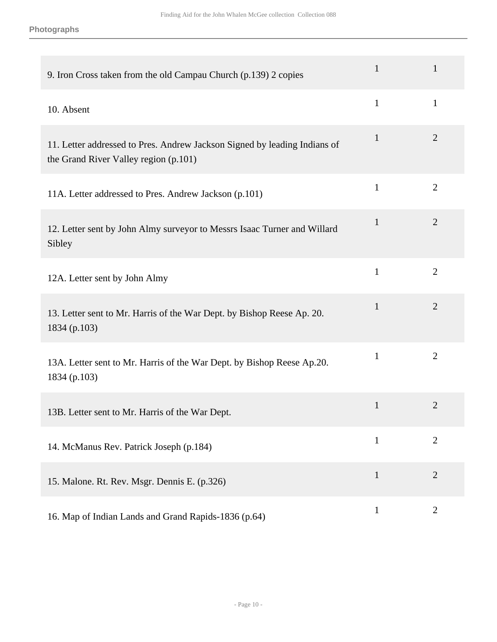| 9. Iron Cross taken from the old Campau Church (p.139) 2 copies                                                    | $\mathbf{1}$ | $\mathbf{1}$   |
|--------------------------------------------------------------------------------------------------------------------|--------------|----------------|
| 10. Absent                                                                                                         | $\mathbf{1}$ | $\mathbf{1}$   |
| 11. Letter addressed to Pres. Andrew Jackson Signed by leading Indians of<br>the Grand River Valley region (p.101) | $\mathbf{1}$ | $\overline{2}$ |
| 11A. Letter addressed to Pres. Andrew Jackson (p.101)                                                              | $\mathbf{1}$ | $\overline{2}$ |
| 12. Letter sent by John Almy surveyor to Messrs Isaac Turner and Willard<br>Sibley                                 | $\mathbf{1}$ | $\overline{2}$ |
| 12A. Letter sent by John Almy                                                                                      | $\mathbf{1}$ | $\overline{2}$ |
| 13. Letter sent to Mr. Harris of the War Dept. by Bishop Reese Ap. 20.<br>1834 (p.103)                             | $\mathbf{1}$ | $\overline{2}$ |
| 13A. Letter sent to Mr. Harris of the War Dept. by Bishop Reese Ap.20.<br>1834 (p.103)                             | $\mathbf{1}$ | $\overline{2}$ |
| 13B. Letter sent to Mr. Harris of the War Dept.                                                                    | $\mathbf{1}$ | $\overline{2}$ |
| 14. McManus Rev. Patrick Joseph (p.184)                                                                            | $\mathbf{1}$ | $\overline{2}$ |
| 15. Malone. Rt. Rev. Msgr. Dennis E. (p.326)                                                                       | $\mathbf{1}$ | $\overline{2}$ |
| 16. Map of Indian Lands and Grand Rapids-1836 (p.64)                                                               | $\mathbf{1}$ | $\overline{2}$ |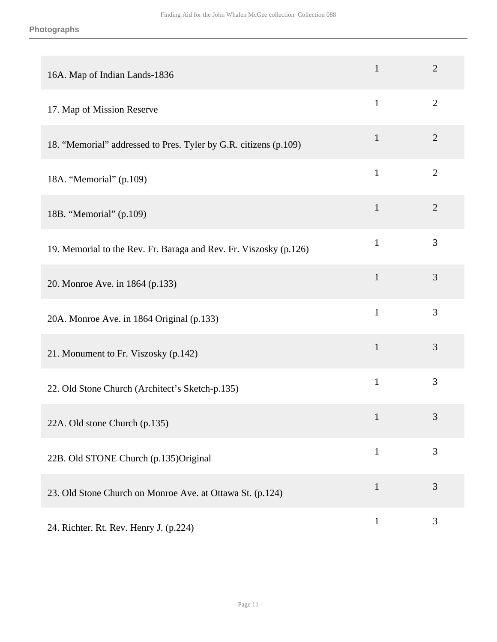| 16A. Map of Indian Lands-1836                                     | $\mathbf{1}$ | $\overline{2}$ |
|-------------------------------------------------------------------|--------------|----------------|
| 17. Map of Mission Reserve                                        | $\mathbf{1}$ | $\overline{2}$ |
| 18. "Memorial" addressed to Pres. Tyler by G.R. citizens (p.109)  | $\mathbf{1}$ | $\overline{2}$ |
| 18A. "Memorial" (p.109)                                           | $\mathbf{1}$ | $\overline{2}$ |
| 18B. "Memorial" (p.109)                                           | $\mathbf{1}$ | $\overline{2}$ |
| 19. Memorial to the Rev. Fr. Baraga and Rev. Fr. Viszosky (p.126) | $\mathbf{1}$ | 3              |
| 20. Monroe Ave. in 1864 (p.133)                                   | $\mathbf{1}$ | 3              |
| 20A. Monroe Ave. in 1864 Original (p.133)                         | $\mathbf{1}$ | 3              |
| 21. Monument to Fr. Viszosky (p.142)                              | $\mathbf{1}$ | 3              |
| 22. Old Stone Church (Architect's Sketch-p.135)                   | $\mathbf{1}$ | 3              |
| 22A. Old stone Church (p.135)                                     | $\mathbf{1}$ | 3              |
| 22B. Old STONE Church (p.135)Original                             | $\mathbf{1}$ | 3              |
| 23. Old Stone Church on Monroe Ave. at Ottawa St. (p.124)         | $\mathbf{1}$ | 3              |
| 24. Richter. Rt. Rev. Henry J. (p.224)                            | $\mathbf{1}$ | $\mathfrak{Z}$ |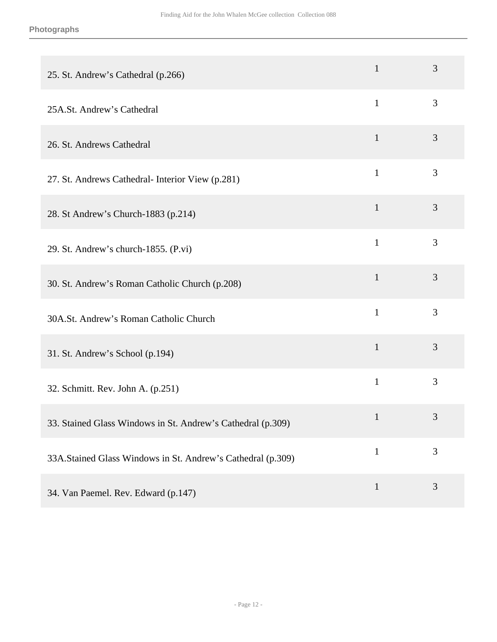#### **Photographs**

| 25. St. Andrew's Cathedral (p.266)                          | $\mathbf{1}$ | 3 |
|-------------------------------------------------------------|--------------|---|
| 25A.St. Andrew's Cathedral                                  | $\mathbf{1}$ | 3 |
| 26. St. Andrews Cathedral                                   | $\mathbf{1}$ | 3 |
| 27. St. Andrews Cathedral- Interior View (p.281)            | $\mathbf{1}$ | 3 |
| 28. St Andrew's Church-1883 (p.214)                         | $\mathbf{1}$ | 3 |
| 29. St. Andrew's church-1855. (P.vi)                        | $\mathbf{1}$ | 3 |
| 30. St. Andrew's Roman Catholic Church (p.208)              | $\mathbf{1}$ | 3 |
| 30A.St. Andrew's Roman Catholic Church                      | $\mathbf{1}$ | 3 |
| 31. St. Andrew's School (p.194)                             | $\mathbf{1}$ | 3 |
| 32. Schmitt. Rev. John A. (p.251)                           | $\mathbf{1}$ | 3 |
| 33. Stained Glass Windows in St. Andrew's Cathedral (p.309) | $\mathbf{1}$ | 3 |
| 33A.Stained Glass Windows in St. Andrew's Cathedral (p.309) | $\mathbf{1}$ | 3 |
| 34. Van Paemel. Rev. Edward (p.147)                         | $\mathbf{1}$ | 3 |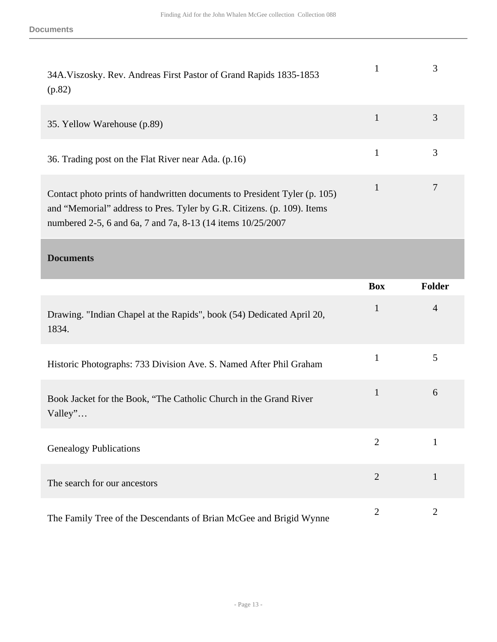| 34A. Viszosky. Rev. Andreas First Pastor of Grand Rapids 1835-1853<br>(p.82)                                                                                                                                         |   |
|----------------------------------------------------------------------------------------------------------------------------------------------------------------------------------------------------------------------|---|
| 35. Yellow Warehouse (p.89)                                                                                                                                                                                          | 3 |
| 36. Trading post on the Flat River near Ada. (p.16)                                                                                                                                                                  |   |
| Contact photo prints of handwritten documents to President Tyler (p. 105)<br>and "Memorial" address to Pres. Tyler by G.R. Citizens. (p. 109). Items<br>numbered 2-5, 6 and 6a, 7 and 7a, 8-13 (14 items 10/25/2007) |   |

#### <span id="page-12-0"></span>**Documents**

|                                                                                | <b>Box</b>     | <b>Folder</b>  |
|--------------------------------------------------------------------------------|----------------|----------------|
| Drawing. "Indian Chapel at the Rapids", book (54) Dedicated April 20,<br>1834. | $\mathbf{1}$   | $\overline{4}$ |
| Historic Photographs: 733 Division Ave. S. Named After Phil Graham             | 1              | 5              |
| Book Jacket for the Book, "The Catholic Church in the Grand River<br>Valley"   | $\mathbf{1}$   | 6              |
| <b>Genealogy Publications</b>                                                  | $\overline{2}$ | $\mathbf{1}$   |
| The search for our ancestors                                                   | $\overline{2}$ | 1              |
| The Family Tree of the Descendants of Brian McGee and Brigid Wynne             | 2              | $\overline{2}$ |